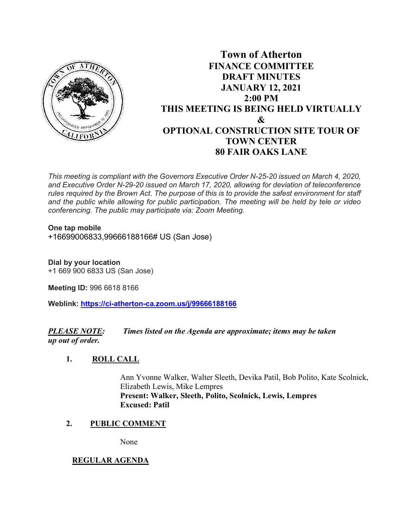

# **Town of Atherton FINANCE COMMITTEE DRAFT MINUTES JANUARY 12, 2021 2:00 PM THIS MEETING IS BEING HELD VIRTUALLY & OPTIONAL CONSTRUCTION SITE TOUR OF TOWN CENTER 80 FAIR OAKS LANE**

*This meeting is compliant with the Governors Executive Order N-25-20 issued on March 4, 2020, and Executive Order N-29-20 issued on March 17, 2020, allowing for deviation of teleconference rules required by the Brown Act. The purpose of this is to provide the safest environment for staff and the public while allowing for public participation. The meeting will be held by tele or video conferencing. The public may participate via: Zoom Meeting.*

**One tap mobile**  +16699006833,99666188166# US (San Jose)

**Dial by your location**  +1 669 900 6833 US (San Jose)

**Meeting ID:** 996 6618 8166

**Weblink: <https://ci-atherton-ca.zoom.us/j/99666188166>**

*PLEASE NOTE: Times listed on the Agenda are approximate; items may be taken up out of order.*

## **1. ROLL CALL**

Ann Yvonne Walker, Walter Sleeth, Devika Patil, Bob Polito, Kate Scolnick, Elizabeth Lewis, Mike Lempres **Present: Walker, Sleeth, Polito, Scolnick, Lewis, Lempres Excused: Patil**

## **2. PUBLIC COMMENT**

None

## **REGULAR AGENDA**